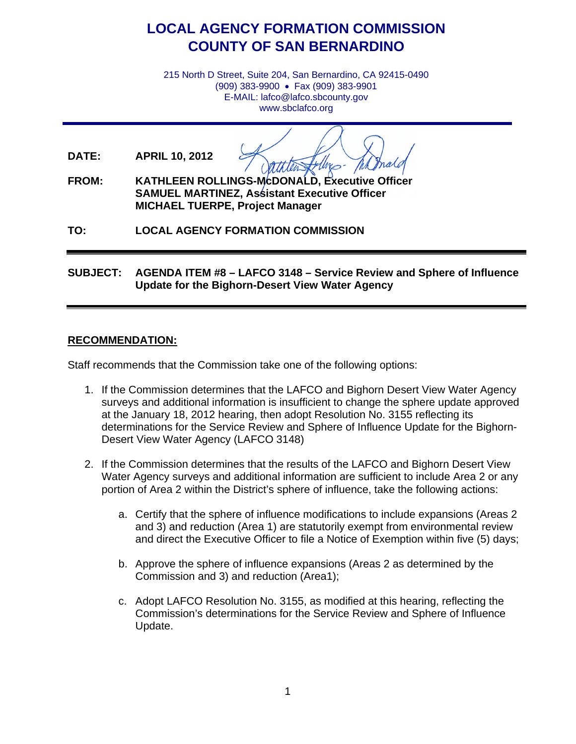## **LOCAL AGENCY FORMATION COMMISSION COUNTY OF SAN BERNARDINO**

215 North D Street, Suite 204, San Bernardino, CA 92415-0490 (909) 383-9900 • Fax (909) 383-9901 E-MAIL: lafco@lafco.sbcounty.gov www.sbclafco.org

**DATE: APRIL 10, 2012**

**FROM: KATHLEEN ROLLINGS-McDONALD, Executive Officer SAMUEL MARTINEZ, Assistant Executive Officer MICHAEL TUERPE, Project Manager**

**TO: LOCAL AGENCY FORMATION COMMISSION**

**SUBJECT: AGENDA ITEM #8 – LAFCO 3148 – Service Review and Sphere of Influence Update for the Bighorn-Desert View Water Agency**

## **RECOMMENDATION:**

Staff recommends that the Commission take one of the following options:

- 1. If the Commission determines that the LAFCO and Bighorn Desert View Water Agency surveys and additional information is insufficient to change the sphere update approved at the January 18, 2012 hearing, then adopt Resolution No. 3155 reflecting its determinations for the Service Review and Sphere of Influence Update for the Bighorn-Desert View Water Agency (LAFCO 3148)
- 2. If the Commission determines that the results of the LAFCO and Bighorn Desert View Water Agency surveys and additional information are sufficient to include Area 2 or any portion of Area 2 within the District's sphere of influence, take the following actions:
	- a. Certify that the sphere of influence modifications to include expansions (Areas 2 and 3) and reduction (Area 1) are statutorily exempt from environmental review and direct the Executive Officer to file a Notice of Exemption within five (5) days;
	- b. Approve the sphere of influence expansions (Areas 2 as determined by the Commission and 3) and reduction (Area1);
	- c. Adopt LAFCO Resolution No. 3155, as modified at this hearing, reflecting the Commission's determinations for the Service Review and Sphere of Influence Update.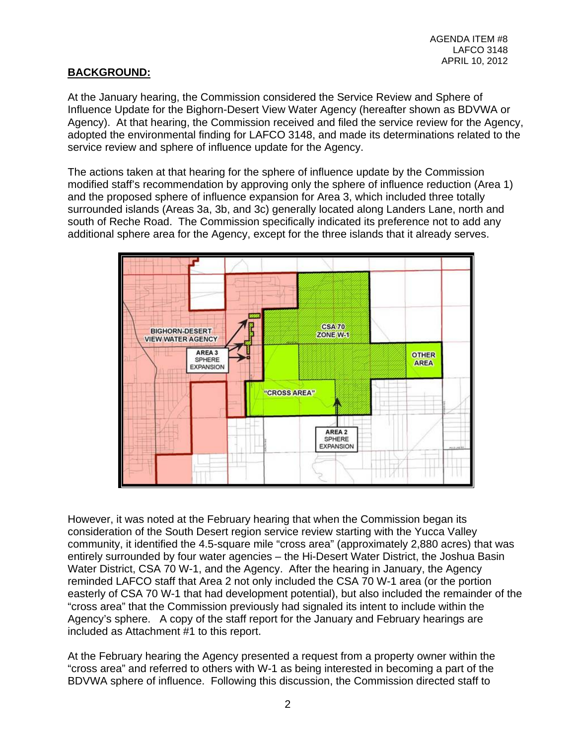## **BACKGROUND:**

At the January hearing, the Commission considered the Service Review and Sphere of Influence Update for the Bighorn-Desert View Water Agency (hereafter shown as BDVWA or Agency). At that hearing, the Commission received and filed the service review for the Agency, adopted the environmental finding for LAFCO 3148, and made its determinations related to the service review and sphere of influence update for the Agency.

The actions taken at that hearing for the sphere of influence update by the Commission modified staff's recommendation by approving only the sphere of influence reduction (Area 1) and the proposed sphere of influence expansion for Area 3, which included three totally surrounded islands (Areas 3a, 3b, and 3c) generally located along Landers Lane, north and south of Reche Road. The Commission specifically indicated its preference not to add any additional sphere area for the Agency, except for the three islands that it already serves.



However, it was noted at the February hearing that when the Commission began its consideration of the South Desert region service review starting with the Yucca Valley community, it identified the 4.5-square mile "cross area" (approximately 2,880 acres) that was entirely surrounded by four water agencies – the Hi-Desert Water District, the Joshua Basin Water District, CSA 70 W-1, and the Agency. After the hearing in January, the Agency reminded LAFCO staff that Area 2 not only included the CSA 70 W-1 area (or the portion easterly of CSA 70 W-1 that had development potential), but also included the remainder of the "cross area" that the Commission previously had signaled its intent to include within the Agency's sphere. A copy of the staff report for the January and February hearings are included as Attachment #1 to this report.

At the February hearing the Agency presented a request from a property owner within the "cross area" and referred to others with W-1 as being interested in becoming a part of the BDVWA sphere of influence. Following this discussion, the Commission directed staff to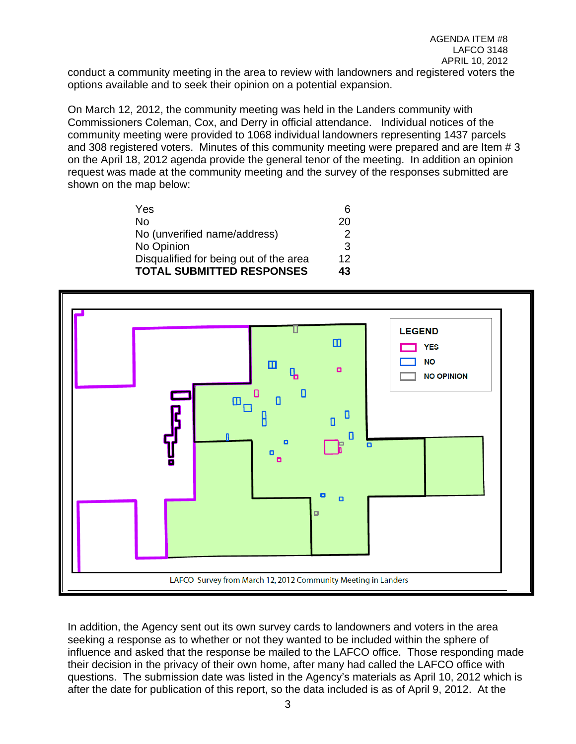conduct a community meeting in the area to review with landowners and registered voters the options available and to seek their opinion on a potential expansion.

On March 12, 2012, the community meeting was held in the Landers community with Commissioners Coleman, Cox, and Derry in official attendance. Individual notices of the community meeting were provided to 1068 individual landowners representing 1437 parcels and 308 registered voters. Minutes of this community meeting were prepared and are Item # 3 on the April 18, 2012 agenda provide the general tenor of the meeting. In addition an opinion request was made at the community meeting and the survey of the responses submitted are shown on the map below:

| Yes                                    |    |
|----------------------------------------|----|
| No                                     | 20 |
| No (unverified name/address)           |    |
| No Opinion                             | 3  |
| Disqualified for being out of the area | 12 |
| <b>TOTAL SUBMITTED RESPONSES</b>       | 43 |



In addition, the Agency sent out its own survey cards to landowners and voters in the area seeking a response as to whether or not they wanted to be included within the sphere of influence and asked that the response be mailed to the LAFCO office. Those responding made their decision in the privacy of their own home, after many had called the LAFCO office with questions. The submission date was listed in the Agency's materials as April 10, 2012 which is after the date for publication of this report, so the data included is as of April 9, 2012. At the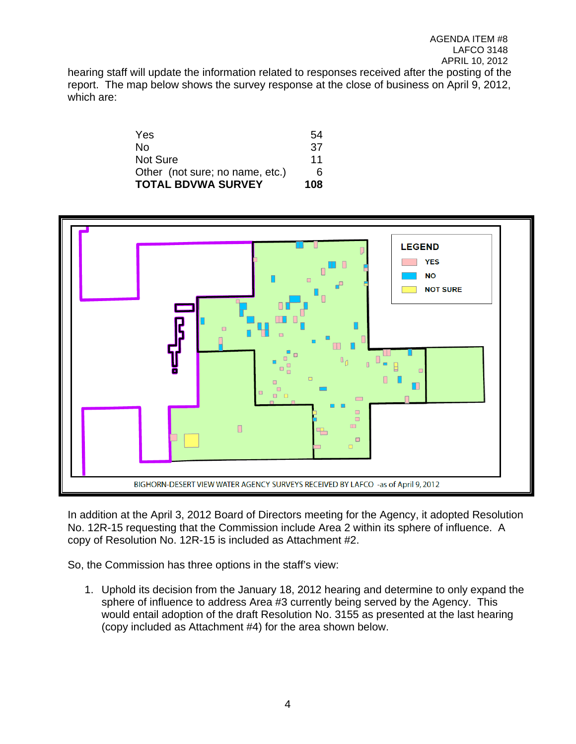hearing staff will update the information related to responses received after the posting of the report. The map below shows the survey response at the close of business on April 9, 2012, which are:

| Yes                             | 54  |
|---------------------------------|-----|
| N٥                              | 37  |
| <b>Not Sure</b>                 | 11  |
| Other (not sure; no name, etc.) | 6   |
| <b>TOTAL BDVWA SURVEY</b>       | 108 |

![](_page_3_Figure_3.jpeg)

In addition at the April 3, 2012 Board of Directors meeting for the Agency, it adopted Resolution No. 12R-15 requesting that the Commission include Area 2 within its sphere of influence. A copy of Resolution No. 12R-15 is included as Attachment #2.

So, the Commission has three options in the staff's view:

1. Uphold its decision from the January 18, 2012 hearing and determine to only expand the sphere of influence to address Area #3 currently being served by the Agency. This would entail adoption of the draft Resolution No. 3155 as presented at the last hearing (copy included as Attachment #4) for the area shown below.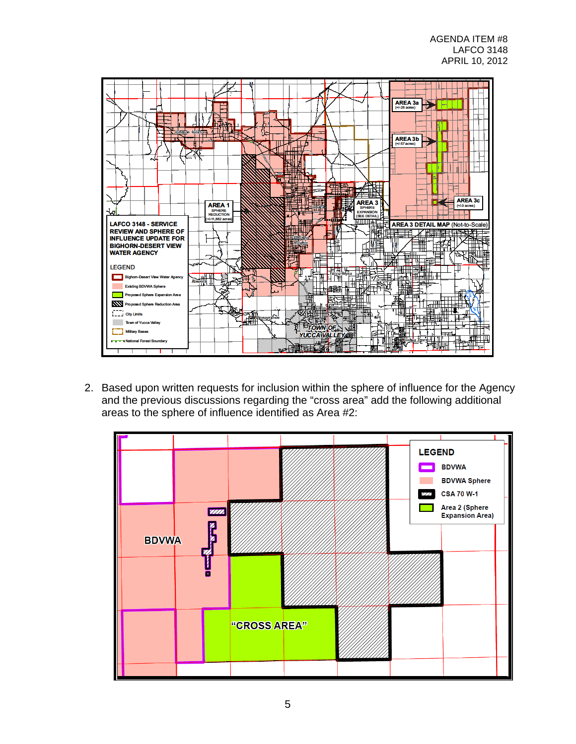![](_page_4_Figure_1.jpeg)

2. Based upon written requests for inclusion within the sphere of influence for the Agency and the previous discussions regarding the "cross area" add the following additional areas to the sphere of influence identified as Area #2:

![](_page_4_Figure_3.jpeg)